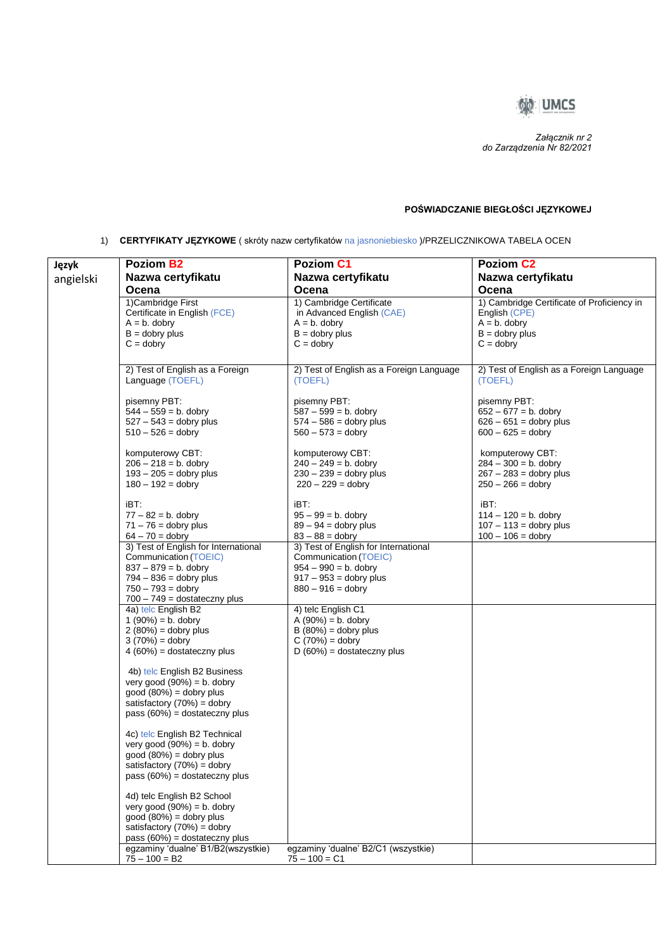

 *Załącznik nr 2 do Zarządzenia Nr 82/2021*

## **POŚWIADCZANIE BIEGŁOŚCI JĘZYKOWEJ**

1) **CERTYFIKATY JĘZYKOWE** ( skróty nazw certyfikatów na jasnoniebiesko )/PRZELICZNIKOWA TABELA OCEN

|           | Poziom B2                            | <b>Poziom C1</b>                                | Poziom C <sub>2</sub>                      |
|-----------|--------------------------------------|-------------------------------------------------|--------------------------------------------|
| Język     |                                      |                                                 |                                            |
| angielski | Nazwa certyfikatu                    | Nazwa certyfikatu                               | Nazwa certyfikatu                          |
|           | Ocena                                | Ocena                                           | Ocena                                      |
|           | 1) Cambridge First                   | 1) Cambridge Certificate                        | 1) Cambridge Certificate of Proficiency in |
|           | Certificate in English (FCE)         | in Advanced English (CAE)                       | English (CPE)                              |
|           | $A = b$ . dobry                      | $A = b$ . dobry                                 | $A = b$ . dobry                            |
|           | $B =$ dobry plus                     | $B =$ dobry plus                                | $B =$ dobry plus                           |
|           | $C =$ dobry                          | $C =$ dobry                                     | $C =$ dobry                                |
|           |                                      |                                                 |                                            |
|           | 2) Test of English as a Foreign      | 2) Test of English as a Foreign Language        | 2) Test of English as a Foreign Language   |
|           | Language (TOEFL)                     | (TOEFL)                                         | (TOEFL)                                    |
|           |                                      |                                                 |                                            |
|           | pisemny PBT:                         | pisemny PBT:                                    | pisemny PBT:                               |
|           | $544 - 559 = b$ . dobry              | $587 - 599 = b$ . dobry                         | $652 - 677 = b$ . dobry                    |
|           | $527 - 543 =$ dobry plus             | $574 - 586 =$ dobry plus                        | $626 - 651 =$ dobry plus                   |
|           | $510 - 526 =$ dobry                  | $560 - 573 =$ dobry                             | $600 - 625 =$ dobry                        |
|           |                                      |                                                 |                                            |
|           | komputerowy CBT:                     | komputerowy CBT:                                | komputerowy CBT:                           |
|           | $206 - 218 = b$ . dobry              | $240 - 249 = b$ . dobry                         | $284 - 300 = b$ . dobry                    |
|           | $193 - 205 =$ dobry plus             | $230 - 239 =$ dobry plus<br>$220 - 229 =$ dobry | $267 - 283 =$ dobry plus                   |
|           | $180 - 192 =$ dobry                  |                                                 | $250 - 266 =$ dobry                        |
|           | iBT:                                 | iBT:                                            | iBT:                                       |
|           | $77 - 82 = b$ . dobry                | $95 - 99 = b$ . dobry                           | $114 - 120 = b$ . dobry                    |
|           | $71 - 76 =$ dobry plus               | $89 - 94 =$ dobry plus                          | $107 - 113 =$ dobry plus                   |
|           | $64 - 70 =$ dobry                    | $83 - 88 =$ dobry                               | $100 - 106 =$ dobry                        |
|           | 3) Test of English for International | 3) Test of English for International            |                                            |
|           | Communication (TOEIC)                | Communication (TOEIC)                           |                                            |
|           | $837 - 879 = b$ . dobry              | $954 - 990 = b$ . dobry                         |                                            |
|           | $794 - 836 =$ dobry plus             | $917 - 953 =$ dobry plus                        |                                            |
|           | $750 - 793 =$ dobry                  | $880 - 916 =$ dobry                             |                                            |
|           | $700 - 749 =$ dostateczny plus       |                                                 |                                            |
|           | 4a) telc English B2                  | 4) telc English C1                              |                                            |
|           | $1(90\%) = b.$ dobry                 | $A(90%) = b.$ dobry                             |                                            |
|           | $2(80%) =$ dobry plus                | $B(80%) =$ dobry plus                           |                                            |
|           | $3(70%) =$ dobry                     | $C(70%) =$ dobry                                |                                            |
|           | $4(60\%) =$ dostateczny plus         | $D(60%) =$ dostateczny plus                     |                                            |
|           |                                      |                                                 |                                            |
|           | 4b) telc English B2 Business         |                                                 |                                            |
|           | very good $(90\%) = b$ . dobry       |                                                 |                                            |
|           | $good (80%) = dopry plus$            |                                                 |                                            |
|           | satisfactory $(70%) =$ dobry         |                                                 |                                            |
|           | pass $(60%)$ = dostateczny plus      |                                                 |                                            |
|           | 4c) telc English B2 Technical        |                                                 |                                            |
|           | very good $(90\%) = b$ . dobry       |                                                 |                                            |
|           | $good (80%) = dobry plus$            |                                                 |                                            |
|           | satisfactory $(70%) =$ dobry         |                                                 |                                            |
|           | pass $(60\%)$ = dostateczny plus     |                                                 |                                            |
|           |                                      |                                                 |                                            |
|           | 4d) telc English B2 School           |                                                 |                                            |
|           | very good $(90\%) = b$ . dobry       |                                                 |                                            |
|           | $good (80%) = dobry plus$            |                                                 |                                            |
|           | satisfactory $(70%) =$ dobry         |                                                 |                                            |
|           | pass $(60%)$ = dostateczny plus      |                                                 |                                            |
|           | egzaminy 'dualne' B1/B2(wszystkie)   | egzaminy 'dualne' B2/C1 (wszystkie)             |                                            |
|           | $75 - 100 = B2$                      | $75 - 100 = C1$                                 |                                            |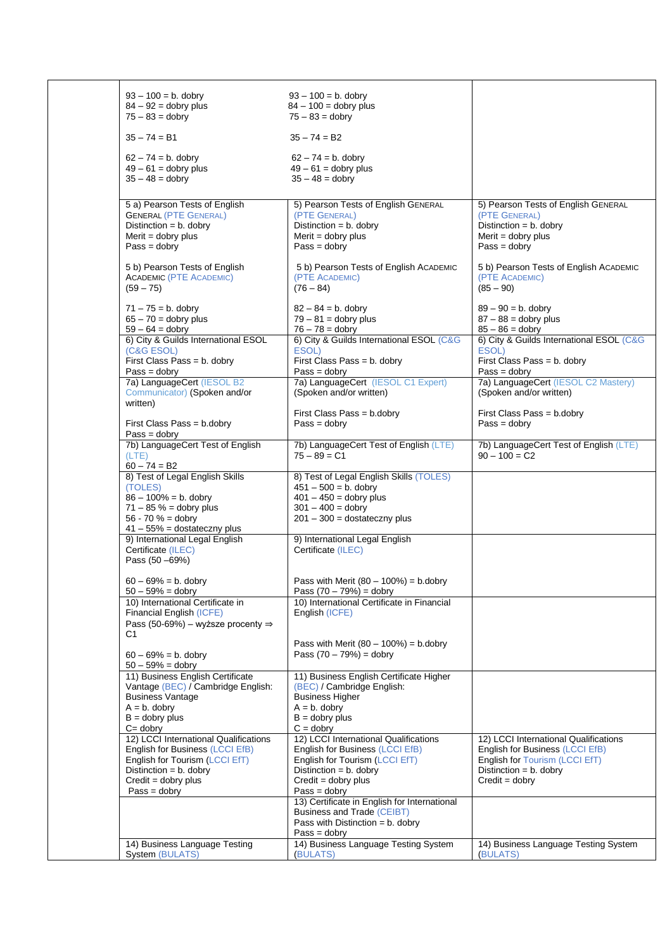| $93 - 100 = b$ . dobry<br>$84 - 92 =$ dobry plus                                                                                        | $93 - 100 = b$ . dobry<br>$84 - 100 =$ dobry plus                                                                                       |                                                                                                                                         |
|-----------------------------------------------------------------------------------------------------------------------------------------|-----------------------------------------------------------------------------------------------------------------------------------------|-----------------------------------------------------------------------------------------------------------------------------------------|
| $75 - 83 =$ dobry                                                                                                                       | $75 - 83 =$ dobry                                                                                                                       |                                                                                                                                         |
| $35 - 74 = B1$                                                                                                                          | $35 - 74 = B2$                                                                                                                          |                                                                                                                                         |
| $62 - 74 = b$ . dobry<br>$49 - 61 =$ dobry plus<br>$35 - 48 =$ dobry                                                                    | $62 - 74 = b$ . dobry<br>$49 - 61 =$ dobry plus<br>$35 - 48 =$ dobry                                                                    |                                                                                                                                         |
| 5 a) Pearson Tests of English<br><b>GENERAL (PTE GENERAL)</b><br>Distinction = $b$ . dobry<br>Merit = $d$ obry plus<br>$Pass = dobry$   | 5) Pearson Tests of English GENERAL<br>(PTE GENERAL)<br>Distinction = $b$ . dobry<br>Merit = $d$ obry plus<br>$Pass = dobry$            | 5) Pearson Tests of English GENERAL<br>(PTE GENERAL)<br>Distinction = $b$ . dobry<br>Merit = $d$ obry plus<br>$Pass = dobry$            |
| 5 b) Pearson Tests of English<br><b>ACADEMIC (PTE ACADEMIC)</b>                                                                         | 5 b) Pearson Tests of English ACADEMIC<br>(PTE ACADEMIC)                                                                                | 5 b) Pearson Tests of English ACADEMIC<br>(PTE ACADEMIC)                                                                                |
| $(59 - 75)$<br>$71 - 75 = b$ . dobry                                                                                                    | $(76 - 84)$<br>$82 - 84 = b$ . dobry                                                                                                    | $(85 - 90)$<br>$89 - 90 = b$ . dobry                                                                                                    |
| $65 - 70 =$ dobry plus<br>$59 - 64 =$ dobry                                                                                             | $79 - 81 =$ dobry plus<br>$76 - 78 =$ dobry                                                                                             | $87 - 88 =$ dobry plus<br>$85 - 86 =$ dobry                                                                                             |
| 6) City & Guilds International ESOL<br>(C&G ESOL)                                                                                       | 6) City & Guilds International ESOL (C&G<br>ESOL)                                                                                       | 6) City & Guilds International ESOL (C&G<br>ESOL)                                                                                       |
| First Class Pass = b. dobry<br>$Pass = dobry$                                                                                           | First Class Pass = b. dobry<br>$Pass = dobry$                                                                                           | First Class Pass = b. dobry<br>$Pass = dobry$                                                                                           |
| 7a) LanguageCert (IESOL B2<br>Communicator) (Spoken and/or<br>written)                                                                  | 7a) LanguageCert (IESOL C1 Expert)<br>(Spoken and/or written)                                                                           | 7a) LanguageCert (IESOL C2 Mastery)<br>(Spoken and/or written)                                                                          |
| First Class Pass = b.dobry<br>$Pass = dobry$                                                                                            | First Class Pass = b.dobry<br>$Pass = dobry$                                                                                            | First Class Pass = b.dobry<br>$Pass = dobry$                                                                                            |
| 7b) LanguageCert Test of English<br>(LTE)<br>$60 - 74 = B2$                                                                             | 7b) LanguageCert Test of English (LTE)<br>$75 - 89 = C1$                                                                                | 7b) LanguageCert Test of English (LTE)<br>$90 - 100 = C2$                                                                               |
| 8) Test of Legal English Skills<br>(TOLES)<br>$86 - 100\% = b$ . dobry                                                                  | 8) Test of Legal English Skills (TOLES)<br>$451 - 500 = b$ . dobry<br>$401 - 450 =$ dobry plus                                          |                                                                                                                                         |
| $71 - 85 \% =$ dobry plus<br>$56 - 70 \% =$ dobry<br>$41 - 55\% =$ dostateczny plus                                                     | $301 - 400 =$ dobry<br>$201 - 300 =$ dostateczny plus                                                                                   |                                                                                                                                         |
| 9) International Legal English<br>Certificate (ILEC)<br>Pass (50 -69%)                                                                  | 9) International Legal English<br>Certificate (ILEC)                                                                                    |                                                                                                                                         |
| $60 - 69\% = b$ . dobry<br>$50 - 59\% =$ dobry                                                                                          | Pass with Merit $(80 - 100\%) = b$ .dobry<br>Pass $(70 - 79%) =$ dobry                                                                  |                                                                                                                                         |
| 10) International Certificate in<br>Financial English (ICFE)<br>Pass (50-69%) – wyższe procenty $\Rightarrow$<br>C1                     | 10) International Certificate in Financial<br>English (ICFE)                                                                            |                                                                                                                                         |
| $60 - 69\% = b$ . dobry<br>$50 - 59\% =$ dobry                                                                                          | Pass with Merit $(80 - 100\%) = b \cdot d$ obry<br>Pass $(70 - 79%) =$ dobry                                                            |                                                                                                                                         |
| 11) Business English Certificate<br>Vantage (BEC) / Cambridge English:<br><b>Business Vantage</b><br>$A = b$ . dobry                    | 11) Business English Certificate Higher<br>(BEC) / Cambridge English:<br><b>Business Higher</b><br>$A = b$ . dobry<br>$B =$ dobry plus  |                                                                                                                                         |
| $B =$ dobry plus<br>$C =$ dobry                                                                                                         | $C =$ dobry                                                                                                                             |                                                                                                                                         |
| 12) LCCI International Qualifications<br>English for Business (LCCI EfB)<br>English for Tourism (LCCI EfT)<br>Distinction = $b$ . dobry | 12) LCCI International Qualifications<br>English for Business (LCCI EfB)<br>English for Tourism (LCCI EfT)<br>Distinction = $b$ . dobry | 12) LCCI International Qualifications<br>English for Business (LCCI EfB)<br>English for Tourism (LCCI EfT)<br>Distinction = $b$ . dobry |
| $Credit = dopry plus$<br>$Pass = dobry$                                                                                                 | $Credit = dobry plus$<br>$Pass = dobry$                                                                                                 | $Credit = dobry$                                                                                                                        |
|                                                                                                                                         | 13) Certificate in English for International<br>Business and Trade (CEIBT)<br>Pass with Distinction = $b$ . dobry                       |                                                                                                                                         |
| 14) Business Language Testing<br>System (BULATS)                                                                                        | $Pass = dobry$<br>14) Business Language Testing System<br>(BULATS)                                                                      | 14) Business Language Testing System<br>(BULATS)                                                                                        |
|                                                                                                                                         |                                                                                                                                         |                                                                                                                                         |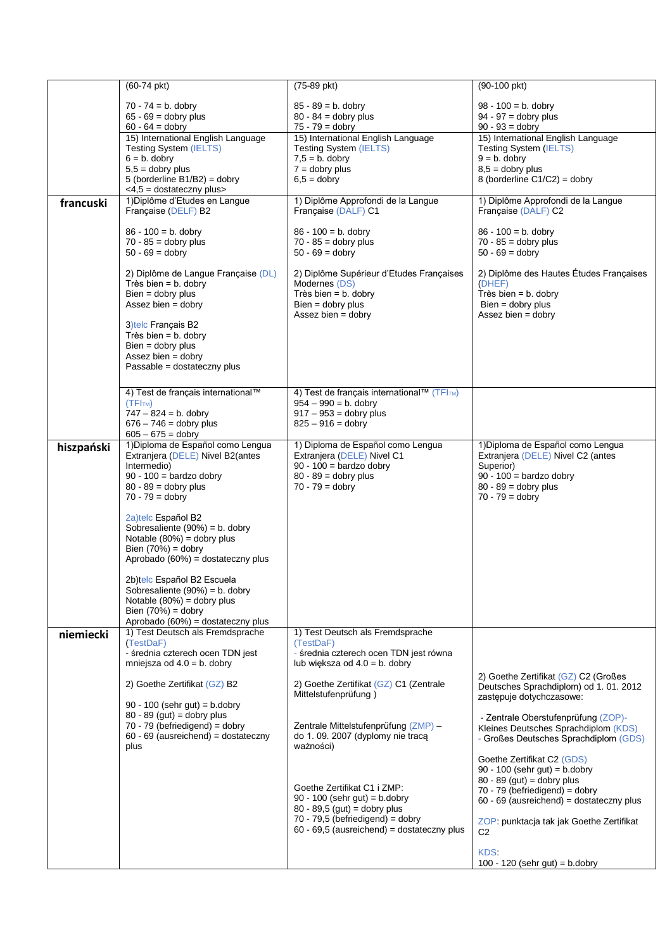|            | $(60-74 \text{ pkt})$                                     | $(75-89$ pkt)                                                         | $(90-100)$ pkt)                                                  |
|------------|-----------------------------------------------------------|-----------------------------------------------------------------------|------------------------------------------------------------------|
|            | $70 - 74 = b$ . dobry                                     | $85 - 89 = b$ . dobry                                                 | $98 - 100 = b$ . dobry                                           |
|            | $65 - 69 =$ dobry plus                                    | $80 - 84 =$ dobry plus                                                | $94 - 97 =$ dobry plus                                           |
|            | $60 - 64 =$ dobry                                         | $75 - 79 =$ dobry                                                     | $90 - 93 =$ dobry                                                |
|            | 15) International English Language                        | 15) International English Language                                    | 15) International English Language                               |
|            | <b>Testing System (IELTS)</b>                             | <b>Testing System (IELTS)</b>                                         | <b>Testing System (IELTS)</b>                                    |
|            | $6 = b$ . dobry                                           | $7,5 = b$ . dobry                                                     | $9 = b$ . dobry                                                  |
|            | $5,5 =$ dobry plus                                        | $7 =$ dobry plus                                                      | $8,5 =$ dobry plus                                               |
|            | 5 (borderline $B1/B2$ ) = dobry                           | $6,5 =$ dobry                                                         | 8 (borderline $C1/C2$ ) = dobry                                  |
|            | <4,5 = dostateczny plus><br>1) Diplôme d'Etudes en Langue | 1) Diplôme Approfondi de la Langue                                    | 1) Diplôme Approfondi de la Langue                               |
| francuski  | Française (DELF) B2                                       | Française (DALF) C1                                                   | Française (DALF) C2                                              |
|            | $86 - 100 = b$ . dobry                                    | $86 - 100 = b$ . dobry                                                | $86 - 100 = b$ . dobry                                           |
|            | $70 - 85 =$ dobry plus                                    | $70 - 85 =$ dobry plus                                                | $70 - 85 =$ dobry plus                                           |
|            | $50 - 69 =$ dobry                                         | $50 - 69 =$ dobry                                                     | $50 - 69 =$ dobry                                                |
|            |                                                           |                                                                       |                                                                  |
|            | 2) Diplôme de Langue Française (DL)                       | 2) Diplôme Supérieur d'Etudes Françaises                              | 2) Diplôme des Hautes Études Françaises                          |
|            | Très bien = $b$ . dobry                                   | Modernes (DS)                                                         | (DHEF)                                                           |
|            | $Bien = dobry plus$                                       | Très bien = $b$ . dobry                                               | Très bien = $b$ . dobry                                          |
|            | Assez bien = $d$ obry                                     | $Bien = dobry plus$                                                   | $Bien = dobry plus$                                              |
|            |                                                           | Assez bien = $d$ obry                                                 | Assez bien = $d$ obry                                            |
|            | 3) telc Français B2                                       |                                                                       |                                                                  |
|            | Très bien = $b$ . dobry<br>$Bien = dobry plus$            |                                                                       |                                                                  |
|            | Assez bien = dobry                                        |                                                                       |                                                                  |
|            | Passable = dostateczny plus                               |                                                                       |                                                                  |
|            |                                                           |                                                                       |                                                                  |
|            |                                                           |                                                                       |                                                                  |
|            | 4) Test de français international™                        | 4) Test de français international™ (TFITM)<br>$954 - 990 = b$ . dobry |                                                                  |
|            | (TFI <sub>TM</sub> )<br>$747 - 824 = b$ . dobry           | $917 - 953 =$ dobry plus                                              |                                                                  |
|            | $676 - 746 =$ dobry plus                                  | $825 - 916 =$ dobry                                                   |                                                                  |
|            | $605 - 675 =$ dobry                                       |                                                                       |                                                                  |
| hiszpański | 1) Diploma de Español como Lengua                         | 1) Diploma de Español como Lengua                                     | 1) Diploma de Español como Lengua                                |
|            | Extranjera (DELE) Nivel B2(antes                          | Extranjera (DELE) Nivel C1                                            | Extranjera (DELE) Nivel C2 (antes                                |
|            | Intermedio)                                               | $90 - 100 =$ bardzo dobry                                             | Superior)                                                        |
|            | $90 - 100 =$ bardzo dobry                                 | $80 - 89 =$ dobry plus                                                | $90 - 100 =$ bardzo dobry                                        |
|            | $80 - 89 =$ dobry plus                                    | $70 - 79 =$ dobry                                                     | $80 - 89 =$ dobry plus                                           |
|            | $70 - 79 =$ dobry                                         |                                                                       | $70 - 79 =$ dobry                                                |
|            |                                                           |                                                                       |                                                                  |
|            | 2a)telc Español B2<br>Sobresaliente $(90\%) = b$ . dobry  |                                                                       |                                                                  |
|            | Notable $(80%) =$ dobry plus                              |                                                                       |                                                                  |
|            | Bien $(70%) =$ dobry                                      |                                                                       |                                                                  |
|            | Aprobado $(60%)$ = dostateczny plus                       |                                                                       |                                                                  |
|            |                                                           |                                                                       |                                                                  |
|            | 2b)telc Español B2 Escuela                                |                                                                       |                                                                  |
|            | Sobresaliente $(90\%) = b$ . dobry                        |                                                                       |                                                                  |
|            | Notable $(80%) =$ dobry plus                              |                                                                       |                                                                  |
|            | Bien $(70%) =$ dobry                                      |                                                                       |                                                                  |
|            | Aprobado $(60%)$ = dostateczny plus                       |                                                                       |                                                                  |
| niemiecki  | 1) Test Deutsch als Fremdsprache                          | 1) Test Deutsch als Fremdsprache                                      |                                                                  |
|            | (TestDaF)<br>- średnia czterech ocen TDN jest             | (TestDaF)<br>- średnia czterech ocen TDN jest równa                   |                                                                  |
|            | mniejsza od $4.0 = b$ . dobry                             | lub większa od $4.0 = b$ . dobry                                      |                                                                  |
|            |                                                           |                                                                       | 2) Goethe Zertifikat (GZ) C2 (Großes                             |
|            | 2) Goethe Zertifikat (GZ) B2                              | 2) Goethe Zertifikat (GZ) C1 (Zentrale                                | Deutsches Sprachdiplom) od 1.01.2012                             |
|            |                                                           | Mittelstufenprüfung)                                                  | zastępuje dotychczasowe:                                         |
|            | $90 - 100$ (sehr gut) = b.dobry                           |                                                                       |                                                                  |
|            | $80 - 89$ (gut) = dobry plus                              |                                                                       | - Zentrale Oberstufenprüfung (ZOP)-                              |
|            | 70 - 79 (befriedigend) = dobry                            | Zentrale Mittelstufenprüfung (ZMP) -                                  | Kleines Deutsches Sprachdiplom (KDS)                             |
|            | $60 - 69$ (ausreichend) = dostateczny                     | do 1.09. 2007 (dyplomy nie traca                                      | - Großes Deutsches Sprachdiplom (GDS)                            |
|            | plus                                                      | ważności)                                                             |                                                                  |
|            |                                                           |                                                                       | Goethe Zertifikat C2 (GDS)                                       |
|            |                                                           |                                                                       | $90 - 100$ (sehr gut) = b.dobry                                  |
|            |                                                           | Goethe Zertifikat C1 i ZMP:                                           | $80 - 89$ (gut) = dobry plus<br>$70 - 79$ (befriedigend) = dobry |
|            |                                                           | $90 - 100$ (sehr gut) = b.dobry                                       | $60 - 69$ (ausreichend) = dostateczny plus                       |
|            |                                                           | $80 - 89,5$ (gut) = dobry plus                                        |                                                                  |
|            |                                                           | $70 - 79,5$ (befriedigend) = dobry                                    | ZOP: punktacja tak jak Goethe Zertifikat                         |
|            |                                                           | $60 - 69,5$ (ausreichend) = dostateczny plus                          | C <sub>2</sub>                                                   |
|            |                                                           |                                                                       |                                                                  |
|            |                                                           |                                                                       | KDS:                                                             |
|            |                                                           |                                                                       | $100 - 120$ (sehr gut) = b.dobry                                 |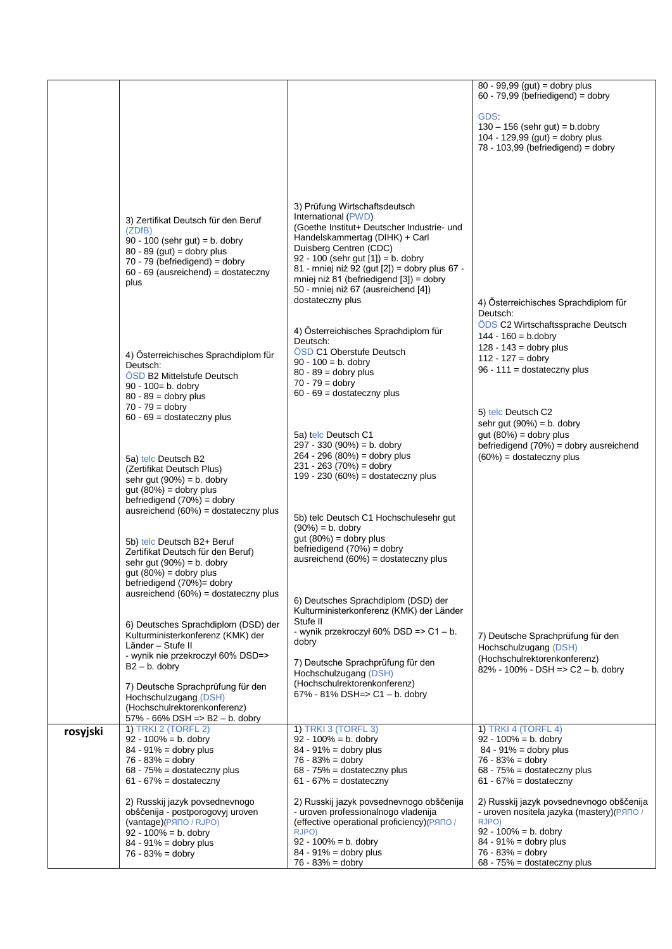|          |                                                                                                                                                                                                        |                                                                                                                                                                                                                                                                                                                                                                | $80 - 99,99$ (gut) = dobry plus<br>$60 - 79,99$ (befriedigend) = dobry                                                                                                                                           |
|----------|--------------------------------------------------------------------------------------------------------------------------------------------------------------------------------------------------------|----------------------------------------------------------------------------------------------------------------------------------------------------------------------------------------------------------------------------------------------------------------------------------------------------------------------------------------------------------------|------------------------------------------------------------------------------------------------------------------------------------------------------------------------------------------------------------------|
|          |                                                                                                                                                                                                        |                                                                                                                                                                                                                                                                                                                                                                | GDS.<br>$130 - 156$ (sehr gut) = b.dobry<br>104 - 129,99 (gut) = dobry plus<br>$78 - 103,99$ (befriedigend) = dobry                                                                                              |
|          | 3) Zertifikat Deutsch für den Beruf<br>(ZDfB)<br>$90 - 100$ (sehr gut) = b. dobry<br>$80 - 89$ (gut) = dobry plus<br>70 - 79 (befriedigend) = dobry<br>$60 - 69$ (ausreichend) = dostateczny<br>plus   | 3) Prüfung Wirtschaftsdeutsch<br>International (PWD)<br>(Goethe Institut+ Deutscher Industrie- und<br>Handelskammertag (DIHK) + Carl<br>Duisberg Centren (CDC)<br>92 - 100 (sehr gut $[1]$ ) = b. dobry<br>81 - mniej niż 92 (gut [2]) = dobry plus 67 -<br>mniej niż 81 (befriedigend [3]) = dobry<br>50 - mniej niż 67 (ausreichend [4])<br>dostateczny plus | 4) Österreichisches Sprachdiplom für<br>Deutsch:                                                                                                                                                                 |
|          | 4) Österreichisches Sprachdiplom für<br>Deutsch:<br>OSD B2 Mittelstufe Deutsch<br>90 - 100= b. dobry<br>$80 - 89 =$ dobry plus<br>$70 - 79 =$ dobry                                                    | 4) Österreichisches Sprachdiplom für<br>Deutsch:<br>ÖSD C1 Oberstufe Deutsch<br>$90 - 100 = b$ . dobry<br>$80 - 89 =$ dobry plus<br>$70 - 79 =$ dobry<br>$60 - 69$ = dostateczny plus                                                                                                                                                                          | ÖDS C2 Wirtschaftssprache Deutsch<br>$144 - 160 = b$ .dobry<br>$128 - 143 =$ dobry plus<br>$112 - 127 =$ dobry<br>$96 - 111 =$ dostateczny plus                                                                  |
|          | $60 - 69 =$ dostateczny plus<br>5a) telc Deutsch B2<br>(Zertifikat Deutsch Plus)<br>sehr gut $(90%) = b$ . dobry                                                                                       | 5a) telc Deutsch C1<br>$297 - 330 (90%) = b$ . dobry<br>$264 - 296 (80%) =$ dobry plus<br>$231 - 263 (70%) =$ dobry<br>199 - 230 (60%) = dostateczny plus                                                                                                                                                                                                      | 5) telc Deutsch C2<br>sehr gut $(90%) = b$ . dobry<br>gut $(80%) =$ dobry plus<br>befriedigend $(70%)$ = dobry ausreichend<br>$(60\%)$ = dostateczny plus                                                        |
|          | $gut (80%) = dobry plus$<br>befriedigend $(70%) =$ dobry<br>ausreichend $(60%)$ = dostateczny plus<br>5b) telc Deutsch B2+ Beruf<br>Zertifikat Deutsch für den Beruf)<br>sehr gut $(90\%) = b$ . dobry | 5b) telc Deutsch C1 Hochschulesehr gut<br>$(90\%) = b.$ dobry<br>gut $(80%) =$ dobry plus<br>befriedigend (70%) = dobry<br>ausreichend (60%) = dostateczny plus                                                                                                                                                                                                |                                                                                                                                                                                                                  |
|          | gut $(80%) =$ dobry plus<br>befriedigend (70%)= dobry<br>ausreichend $(60%)$ = dostateczny plus                                                                                                        | 6) Deutsches Sprachdiplom (DSD) der<br>Kulturministerkonferenz (KMK) der Länder                                                                                                                                                                                                                                                                                |                                                                                                                                                                                                                  |
|          | 6) Deutsches Sprachdiplom (DSD) der<br>Kulturministerkonferenz (KMK) der<br>Länder - Stufe II<br>- wynik nie przekroczył 60% DSD=><br>$B2 - b$ . dobry                                                 | Stufe II<br>- wynik przekroczył 60% DSD => $C1 - b$ .<br>dobry<br>7) Deutsche Sprachprüfung für den<br>Hochschulzugang (DSH)                                                                                                                                                                                                                                   | 7) Deutsche Sprachprüfung für den<br>Hochschulzugang (DSH)<br>(Hochschulrektorenkonferenz)<br>82% - 100% - DSH => $C2 - b$ . dobry                                                                               |
|          | 7) Deutsche Sprachprüfung für den<br>Hochschulzugang (DSH)<br>(Hochschulrektorenkonferenz)<br>57% - 66% DSH => B2 - b. dobry<br><b>1) TRKI 2 (TORFL 2)</b>                                             | (Hochschulrektorenkonferenz)<br>67% - 81% DSH=> $C1 - b$ . dobry<br><b>1) TRKI 3 (TORFL 3)</b>                                                                                                                                                                                                                                                                 | 1) TRKI 4 (TORFL 4)                                                                                                                                                                                              |
| rosyjski | $92 - 100\% = b$ . dobry<br>$84 - 91\% =$ dobry plus<br>$76 - 83% =$ dobry<br>$68 - 75\% =$ dostateczny plus<br>$61 - 67\% =$ dostateczny                                                              | $92 - 100\% = b$ . dobry<br>$84 - 91\% =$ dobry plus<br>$76 - 83% =$ dobry<br>68 - 75% = dostateczny plus<br>$61 - 67\% =$ dostateczny                                                                                                                                                                                                                         | $92 - 100\% = b$ . dobry<br>$84 - 91\% =$ dobry plus<br>$76 - 83% =$ dobry<br>68 - 75% = dostateczny plus<br>$61 - 67\% =$ dostateczny                                                                           |
|          | 2) Russkij jazyk povsednevnogo<br>obščenija - postporogovyj uroven<br>(vantage)(PRIO / RJPO)<br>$92 - 100\% = b$ . dobry<br>$84 - 91\% =$ dobry plus<br>$76 - 83% =$ dobry                             | 2) Russkij jazyk povsednevnogo obščenija<br>- uroven professionalnogo vladenija<br>(effective operational proficiency)(PRNO/<br>RJPO)<br>$92 - 100\% = b$ . dobry<br>$84 - 91\% =$ dobry plus<br>$76 - 83% =$ dobry                                                                                                                                            | 2) Russkij jazyk povsednevnogo obščenija<br>- uroven nositela jazyka (mastery) (PANO /<br>RJPO)<br>$92 - 100\% = b$ . dobry<br>$84 - 91\% =$ dobry plus<br>$76 - 83\% =$ dobry<br>$68 - 75\% =$ dostateczny plus |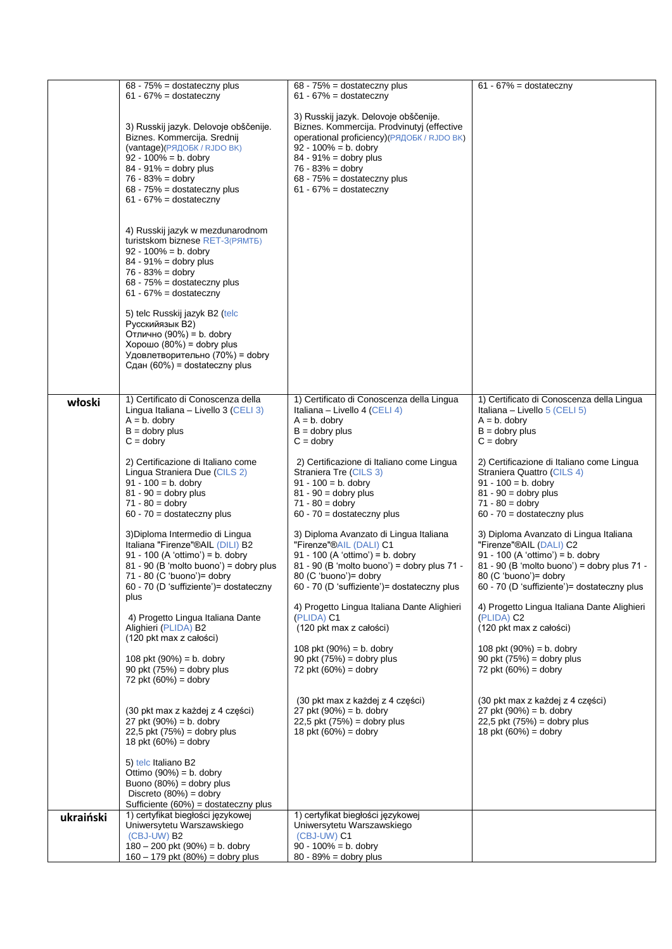|           | $68 - 75\% =$ dostateczny plus                                                                                                                                                                                                                                                                                                                                                                        | $68 - 75\% =$ dostateczny plus                                                                                                                                                                                                                                                  | $61 - 67\% =$ dostateczny                                                                                                                                                                                                                                                   |
|-----------|-------------------------------------------------------------------------------------------------------------------------------------------------------------------------------------------------------------------------------------------------------------------------------------------------------------------------------------------------------------------------------------------------------|---------------------------------------------------------------------------------------------------------------------------------------------------------------------------------------------------------------------------------------------------------------------------------|-----------------------------------------------------------------------------------------------------------------------------------------------------------------------------------------------------------------------------------------------------------------------------|
|           | $61 - 67\% =$ dostateczny                                                                                                                                                                                                                                                                                                                                                                             | $61 - 67\% =$ dostateczny                                                                                                                                                                                                                                                       |                                                                                                                                                                                                                                                                             |
|           | 3) Russkij jazyk. Delovoje obščenije.<br>Biznes. Kommercija. Srednij<br>(vantage) (РЯДОБК / RJDO ВК)<br>$92 - 100\% = b$ . dobry<br>84 - 91% = dobry plus<br>$76 - 83\% =$ dobry<br>$68 - 75\% =$ dostateczny plus<br>$61 - 67\% =$ dostateczny                                                                                                                                                       | 3) Russkij jazyk. Delovoje obščenije.<br>Biznes. Kommercija. Prodvinutyj (effective<br>operational proficiency) (РЯДОБК / RJDO ВК)<br>$92 - 100\% = b$ . dobry<br>$84 - 91\% =$ dobry plus<br>$76 - 83% =$ dobry<br>$68 - 75\% =$ dostateczny plus<br>$61 - 67\% =$ dostateczny |                                                                                                                                                                                                                                                                             |
|           | 4) Russkij jazyk w mezdunarodnom<br>turistskom biznese RET-3(PAMT5)<br>$92 - 100\% = b$ . dobry<br>$84 - 91\% =$ dobry plus<br>$76 - 83\% =$ dobry<br>$68 - 75\% =$ dostateczny plus<br>$61 - 67\% =$ dostateczny<br>5) telc Russkij jazyk B2 (telc<br>Русскийязык В2)<br>Отлично (90%) = b. dobry<br>Хорошо (80%) = dobry plus<br>Удовлетворительно (70%) = dobry<br>Сдан $(60%)$ = dostateczny plus |                                                                                                                                                                                                                                                                                 |                                                                                                                                                                                                                                                                             |
| włoski    | 1) Certificato di Conoscenza della<br>Lingua Italiana - Livello 3 (CELI 3)<br>$A = b$ . dobry<br>$B =$ dobry plus<br>$C =$ dobry                                                                                                                                                                                                                                                                      | 1) Certificato di Conoscenza della Lingua<br>Italiana – Livello 4 (CELI 4)<br>$A = b$ . dobry<br>$B =$ dobry plus<br>$C =$ dobry                                                                                                                                                | 1) Certificato di Conoscenza della Lingua<br>Italiana – Livello $5$ (CELI 5)<br>$A = b$ . dobry<br>$B =$ dobry plus<br>$C =$ dobry                                                                                                                                          |
|           | 2) Certificazione di Italiano come<br>Lingua Straniera Due (CILS 2)<br>$91 - 100 = b$ . dobry<br>$81 - 90 =$ dobry plus<br>$71 - 80 =$ dobry<br>$60 - 70 =$ dostateczny plus                                                                                                                                                                                                                          | 2) Certificazione di Italiano come Lingua<br>Straniera Tre (CILS 3)<br>$91 - 100 = b$ . dobry<br>$81 - 90 =$ dobry plus<br>$71 - 80 =$ dobry<br>$60 - 70 =$ dostateczny plus                                                                                                    | 2) Certificazione di Italiano come Lingua<br>Straniera Quattro (CILS 4)<br>$91 - 100 = b$ . dobry<br>$81 - 90 =$ dobry plus<br>$71 - 80 =$ dobry<br>$60 - 70 =$ dostateczny plus                                                                                            |
|           | 3) Diploma Intermedio di Lingua<br>Italiana "Firenze"®AIL (DILI) B2<br>91 - 100 (A 'ottimo') = b. dobry<br>$81 - 90$ (B 'molto buono') = dobry plus<br>71 - 80 (C 'buono') = dobry<br>60 - 70 (D 'suffiziente')= dostateczny<br>plus                                                                                                                                                                  | 3) Diploma Avanzato di Lingua Italiana<br>"Firenze"®AIL (DALI) C1<br>91 - 100 (A 'ottimo') = b. dobry<br>81 - 90 (B 'molto buono') = dobry plus 71 -<br>80 (C 'buono')= dobry<br>60 - 70 (D 'suffiziente')= dostateczny plus<br>4) Progetto Lingua Italiana Dante Alighieri     | 3) Diploma Avanzato di Lingua Italiana<br>"Firenze"®AIL (DALI) C2<br>91 - 100 (A 'ottimo') = b. dobry<br>81 - 90 (B 'molto buono') = dobry plus 71 -<br>80 (C 'buono')= dobry<br>60 - 70 (D 'suffiziente')= dostateczny plus<br>4) Progetto Lingua Italiana Dante Alighieri |
|           | 4) Progetto Lingua Italiana Dante<br>Alighieri (PLIDA) B2<br>(120 pkt max z całości)                                                                                                                                                                                                                                                                                                                  | (PLIDA) C1<br>(120 pkt max z całości)                                                                                                                                                                                                                                           | (PLIDA) C2<br>(120 pkt max z całości)                                                                                                                                                                                                                                       |
|           | 108 pkt $(90%) = b$ . dobry<br>90 pkt $(75%)$ = dobry plus<br>72 pkt $(60%) =$ dobry                                                                                                                                                                                                                                                                                                                  | 108 pkt $(90%) = b$ . dobry<br>90 pkt $(75%)$ = dobry plus<br>72 pkt $(60%) =$ dobry                                                                                                                                                                                            | 108 pkt $(90%) = b$ . dobry<br>90 pkt $(75%)$ = dobry plus<br>72 pkt $(60%) =$ dobry                                                                                                                                                                                        |
|           | (30 pkt max z każdej z 4 części)<br>27 pkt $(90%) = b$ . dobry<br>$22,5$ pkt $(75%) =$ dobry plus<br>18 pkt $(60%) =$ dobry                                                                                                                                                                                                                                                                           | (30 pkt max z każdej z 4 części)<br>27 pkt $(90%) = b$ . dobry<br>$22,5$ pkt $(75%)$ = dobry plus<br>18 pkt $(60%) =$ dobry                                                                                                                                                     | (30 pkt max z każdej z 4 części)<br>27 pkt $(90%) = b$ . dobry<br>$22,5$ pkt $(75%)$ = dobry plus<br>18 pkt $(60%) =$ dobry                                                                                                                                                 |
|           | 5) telc Italiano B2<br>Ottimo $(90\%) = b$ . dobry<br>Buono $(80\%) =$ dobry plus<br>Discreto $(80%) =$ dobry<br>Sufficiente (60%) = dostateczny plus                                                                                                                                                                                                                                                 |                                                                                                                                                                                                                                                                                 |                                                                                                                                                                                                                                                                             |
| ukraiński | 1) certyfikat biegłości językowej<br>Uniwersytetu Warszawskiego<br>(CBJ-UW) B2<br>$180 - 200$ pkt $(90%) = b$ . dobry<br>$160 - 179$ pkt $(80%) =$ dobry plus                                                                                                                                                                                                                                         | 1) certyfikat biegłości językowej<br>Uniwersytetu Warszawskiego<br>(CBJ-UW) C1<br>$90 - 100\% = b$ . dobry<br>$80 - 89\% =$ dobry plus                                                                                                                                          |                                                                                                                                                                                                                                                                             |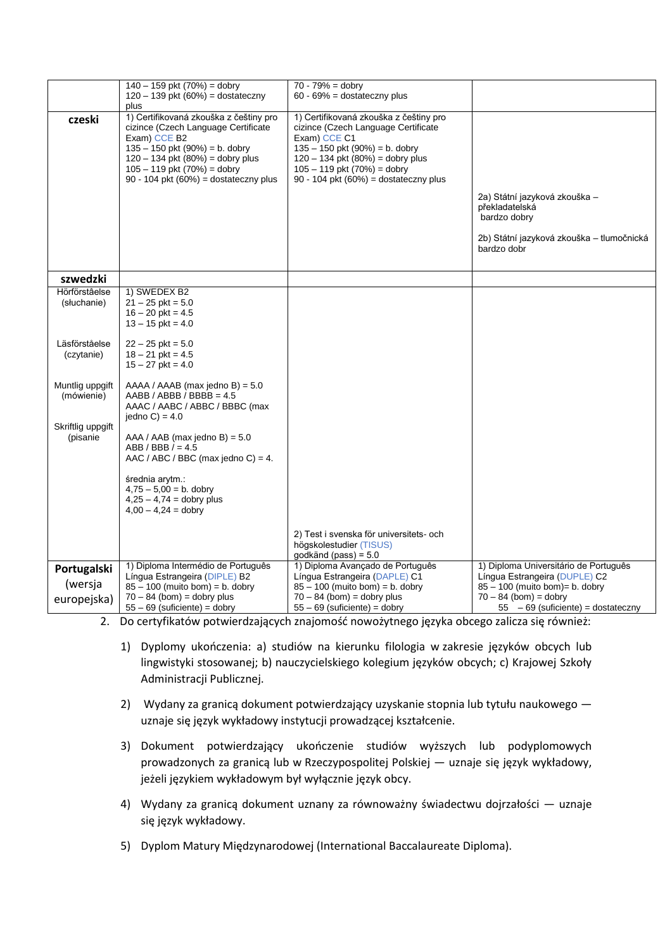|                               | $140 - 159$ pkt $(70%) =$ dobry                                                                                                                                                                                                                       | $70 - 79% =$ dobry                                                                                                                                                                                                                                         |                                                                                                                             |
|-------------------------------|-------------------------------------------------------------------------------------------------------------------------------------------------------------------------------------------------------------------------------------------------------|------------------------------------------------------------------------------------------------------------------------------------------------------------------------------------------------------------------------------------------------------------|-----------------------------------------------------------------------------------------------------------------------------|
|                               | $120 - 139$ pkt (60%) = dostateczny                                                                                                                                                                                                                   | $60 - 69\% =$ dostateczny plus                                                                                                                                                                                                                             |                                                                                                                             |
|                               | plus                                                                                                                                                                                                                                                  |                                                                                                                                                                                                                                                            |                                                                                                                             |
| czeski                        | 1) Certifikovaná zkouška z češtiny pro<br>cizince (Czech Language Certificate<br>Exam) CCE B2<br>$135 - 150$ pkt (90%) = b. dobry<br>$120 - 134$ pkt $(80%) =$ dobry plus<br>$105 - 119$ pkt $(70%) =$ dobry<br>90 - 104 pkt (60%) = dostateczny plus | 1) Certifikovaná zkouška z češtiny pro<br>cizince (Czech Language Certificate<br>Exam) CCE C1<br>$135 - 150$ pkt (90%) = b. dobry<br>$120 - 134$ pkt $(80%) =$ dobry plus<br>$105 - 119$ pkt $(70%) =$ dobry<br>$90 - 104$ pkt $(60\%) =$ dostateczny plus | 2a) Státní jazyková zkouška –<br>překladatelská<br>bardzo dobry<br>2b) Státní jazyková zkouška – tlumočnická<br>bardzo dobr |
| szwedzki                      |                                                                                                                                                                                                                                                       |                                                                                                                                                                                                                                                            |                                                                                                                             |
| Hörförståelse                 | 1) SWEDEX B2                                                                                                                                                                                                                                          |                                                                                                                                                                                                                                                            |                                                                                                                             |
| (słuchanie)                   | $21 - 25$ pkt = 5.0<br>$16 - 20$ pkt = 4.5                                                                                                                                                                                                            |                                                                                                                                                                                                                                                            |                                                                                                                             |
|                               | $13 - 15$ pkt = 4.0                                                                                                                                                                                                                                   |                                                                                                                                                                                                                                                            |                                                                                                                             |
| Läsförståelse                 | $22 - 25$ pkt = 5.0                                                                                                                                                                                                                                   |                                                                                                                                                                                                                                                            |                                                                                                                             |
| (czytanie)                    | $18 - 21$ pkt = 4.5<br>$15 - 27$ pkt = 4.0                                                                                                                                                                                                            |                                                                                                                                                                                                                                                            |                                                                                                                             |
|                               |                                                                                                                                                                                                                                                       |                                                                                                                                                                                                                                                            |                                                                                                                             |
| Muntlig uppgift<br>(mówienie) | $AAAA / AAAB$ (max jedno B) = 5.0<br>$AABB / ABBB / BBBB = 4.5$                                                                                                                                                                                       |                                                                                                                                                                                                                                                            |                                                                                                                             |
|                               | AAAC / AABC / ABBC / BBBC (max<br>jedno $C$ ) = 4.0                                                                                                                                                                                                   |                                                                                                                                                                                                                                                            |                                                                                                                             |
| Skriftlig uppgift             |                                                                                                                                                                                                                                                       |                                                                                                                                                                                                                                                            |                                                                                                                             |
| (pisanie                      | $AAA / AAB$ (max jedno B) = 5.0<br>$ABB / BBB / = 4.5$                                                                                                                                                                                                |                                                                                                                                                                                                                                                            |                                                                                                                             |
|                               | AAC / ABC / BBC (max jedno C) = 4.                                                                                                                                                                                                                    |                                                                                                                                                                                                                                                            |                                                                                                                             |
|                               | średnia arytm.:                                                                                                                                                                                                                                       |                                                                                                                                                                                                                                                            |                                                                                                                             |
|                               | $4,75 - 5,00 = b$ . dobry                                                                                                                                                                                                                             |                                                                                                                                                                                                                                                            |                                                                                                                             |
|                               | $4,25 - 4,74 =$ dobry plus<br>$4,00 - 4,24 =$ dobry                                                                                                                                                                                                   |                                                                                                                                                                                                                                                            |                                                                                                                             |
|                               |                                                                                                                                                                                                                                                       |                                                                                                                                                                                                                                                            |                                                                                                                             |
|                               |                                                                                                                                                                                                                                                       | 2) Test i svenska för universitets- och                                                                                                                                                                                                                    |                                                                                                                             |
|                               |                                                                                                                                                                                                                                                       | högskolestudier (TISUS)<br>godkänd (pass) = $5.0$                                                                                                                                                                                                          |                                                                                                                             |
| Portugalski                   | 1) Diploma Intermédio de Português                                                                                                                                                                                                                    | 1) Diploma Avançado de Português                                                                                                                                                                                                                           | 1) Diploma Universitário de Português                                                                                       |
|                               | Língua Estrangeira (DIPLE) B2                                                                                                                                                                                                                         | Língua Estrangeira (DAPLE) C1                                                                                                                                                                                                                              | Língua Estrangeira (DUPLE) C2                                                                                               |
| (wersja                       | $85 - 100$ (muito bom) = b. dobry                                                                                                                                                                                                                     | $85 - 100$ (muito bom) = b. dobry                                                                                                                                                                                                                          | 85 - 100 (muito bom) = b. dobry                                                                                             |
| europejska)                   | $70 - 84$ (bom) = dobry plus<br>$55 - 69$ (suficiente) = dobry                                                                                                                                                                                        | $70 - 84$ (bom) = dobry plus<br>$55 - 69$ (suficiente) = dobry                                                                                                                                                                                             | $70 - 84$ (bom) = dobry<br>$55 - 69$ (suficiente) = dostateczny                                                             |

2. Do certyfikatów potwierdzających znajomość nowożytnego języka obcego zalicza się również:

- 1) Dyplomy ukończenia: a) studiów na kierunku filologia w zakresie języków obcych lub lingwistyki stosowanej; b) nauczycielskiego kolegium języków obcych; c) Krajowej Szkoły Administracji Publicznej.
- 2) Wydany za granicą dokument potwierdzający uzyskanie stopnia lub tytułu naukowego uznaje się język wykładowy instytucji prowadzącej kształcenie.
- 3) Dokument potwierdzający ukończenie studiów wyższych lub podyplomowych prowadzonych za granicą lub w Rzeczypospolitej Polskiej — uznaje się język wykładowy, jeżeli językiem wykładowym był wyłącznie język obcy.
- 4) Wydany za granicą dokument uznany za równoważny świadectwu dojrzałości uznaje się język wykładowy.
- 5) Dyplom Matury Międzynarodowej (International Baccalaureate Diploma).